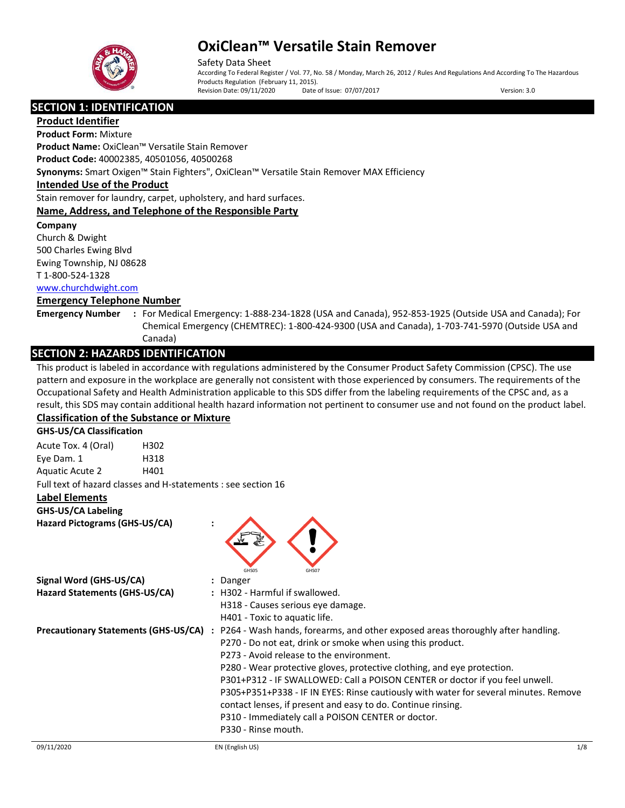

Safety Data Sheet According To Federal Register / Vol. 77, No. 58 / Monday, March 26, 2012 / Rules And Regulations And According To The Hazardous Products Regulation (February 11, 2015).<br>Revision Date: 09/11/2020 Date of Issue: 07/07/2017 Revision Date: 09/11/2020 Date of Issue: 07/07/2017 Version: 3.0

## **SECTION 1: IDENTIFICATION**

**Product Identifier Product Form:** Mixture

**Product Name:** OxiClean™ Versatile Stain Remover **Product Code:** 40002385, 40501056, 40500268

**Synonyms:** Smart Oxigen™ Stain Fighters", OxiClean™ Versatile Stain Remover MAX Efficiency

## **Intended Use of the Product**

Stain remover for laundry, carpet, upholstery, and hard surfaces.

## **Name, Address, and Telephone of the Responsible Party**

**Company** 

Church & Dwight 500 Charles Ewing Blvd Ewing Township, NJ 08628 T 1-800-524-1328

[www.churchdwight.com](http://www.churchdwight.com/)

## **Emergency Telephone Number**

**Emergency Number :** For Medical Emergency: 1-888-234-1828 (USA and Canada), 952-853-1925 (Outside USA and Canada); For Chemical Emergency (CHEMTREC): 1-800-424-9300 (USA and Canada), 1-703-741-5970 (Outside USA and Canada)

## **SECTION 2: HAZARDS IDENTIFICATION**

This product is labeled in accordance with regulations administered by the Consumer Product Safety Commission (CPSC). The use pattern and exposure in the workplace are generally not consistent with those experienced by consumers. The requirements of the Occupational Safety and Health Administration applicable to this SDS differ from the labeling requirements of the CPSC and, as a result, this SDS may contain additional health hazard information not pertinent to consumer use and not found on the product label.

## **Classification of the Substance or Mixture**

**GHS-US/CA Classification**

| Acute Tox. 4 (Oral)    | H302                                                          |  |
|------------------------|---------------------------------------------------------------|--|
| Eye Dam. 1             | H318                                                          |  |
| <b>Aguatic Acute 2</b> | H401                                                          |  |
|                        | Full text of hazard classes and H-statements : see section 16 |  |

### **Label Elements**

**GHS-US/CA Labeling Hazard Pictograms (GHS-US/CA) :**



| Signal Word (GHS-US/CA)<br>Hazard Statements (GHS-US/CA) | : Danger<br>: H302 - Harmful if swallowed.<br>H318 - Causes serious eye damage.                                                                                                                                                                                                                                                                                                                                                                                                                                                                                                                                              |
|----------------------------------------------------------|------------------------------------------------------------------------------------------------------------------------------------------------------------------------------------------------------------------------------------------------------------------------------------------------------------------------------------------------------------------------------------------------------------------------------------------------------------------------------------------------------------------------------------------------------------------------------------------------------------------------------|
| <b>Precautionary Statements (GHS-US/CA)</b>              | H401 - Toxic to aquatic life.<br>: P264 - Wash hands, forearms, and other exposed areas thoroughly after handling.<br>P270 - Do not eat, drink or smoke when using this product.<br>P273 - Avoid release to the environment.<br>P280 - Wear protective gloves, protective clothing, and eye protection.<br>P301+P312 - IF SWALLOWED: Call a POISON CENTER or doctor if you feel unwell.<br>P305+P351+P338 - IF IN EYES: Rinse cautiously with water for several minutes. Remove<br>contact lenses, if present and easy to do. Continue rinsing.<br>P310 - Immediately call a POISON CENTER or doctor.<br>P330 - Rinse mouth. |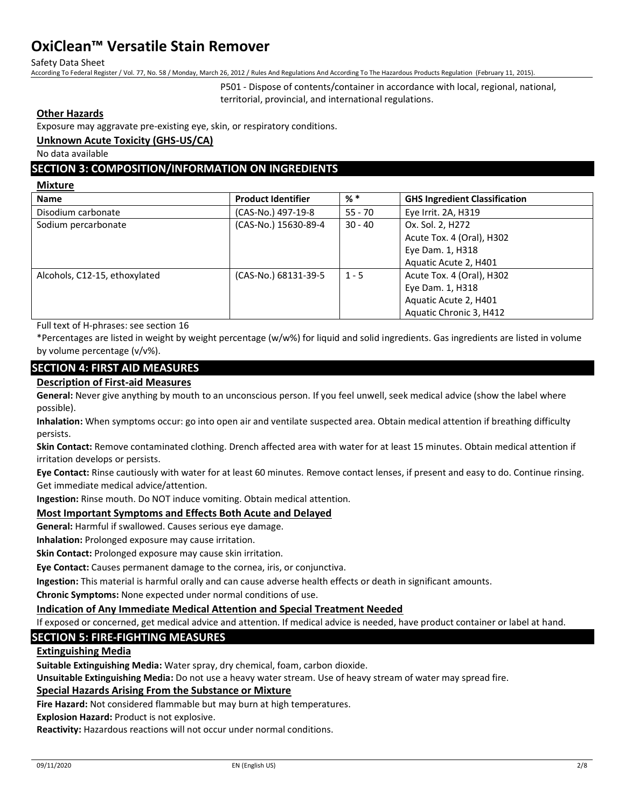Safety Data Sheet

According To Federal Register / Vol. 77, No. 58 / Monday, March 26, 2012 / Rules And Regulations And According To The Hazardous Products Regulation (February 11, 2015).

P501 - Dispose of contents/container in accordance with local, regional, national, territorial, provincial, and international regulations.

### **Other Hazards**

Exposure may aggravate pre-existing eye, skin, or respiratory conditions.

#### **Unknown Acute Toxicity (GHS-US/CA)**

No data available

## **SECTION 3: COMPOSITION/INFORMATION ON INGREDIENTS**

**Mixture**

| <b>Name</b>                   | <b>Product Identifier</b> | $%$ $*$   | <b>GHS Ingredient Classification</b> |
|-------------------------------|---------------------------|-----------|--------------------------------------|
| Disodium carbonate            | (CAS-No.) 497-19-8        | $55 - 70$ | Eye Irrit. 2A, H319                  |
| Sodium percarbonate           | (CAS-No.) 15630-89-4      | $30 - 40$ | Ox. Sol. 2, H272                     |
|                               |                           |           | Acute Tox. 4 (Oral), H302            |
|                               |                           |           | Eye Dam. 1, H318                     |
|                               |                           |           | Aquatic Acute 2, H401                |
| Alcohols, C12-15, ethoxylated | (CAS-No.) 68131-39-5      | $1 - 5$   | Acute Tox. 4 (Oral), H302            |
|                               |                           |           | Eye Dam. 1, H318                     |
|                               |                           |           | Aquatic Acute 2, H401                |
|                               |                           |           | Aquatic Chronic 3, H412              |

Full text of H-phrases: see section 16

\*Percentages are listed in weight by weight percentage (w/w%) for liquid and solid ingredients. Gas ingredients are listed in volume by volume percentage (v/v%).

## **SECTION 4: FIRST AID MEASURES**

#### **Description of First-aid Measures**

**General:** Never give anything by mouth to an unconscious person. If you feel unwell, seek medical advice (show the label where possible).

**Inhalation:** When symptoms occur: go into open air and ventilate suspected area. Obtain medical attention if breathing difficulty persists.

**Skin Contact:** Remove contaminated clothing. Drench affected area with water for at least 15 minutes. Obtain medical attention if irritation develops or persists.

**Eye Contact:** Rinse cautiously with water for at least 60 minutes. Remove contact lenses, if present and easy to do. Continue rinsing. Get immediate medical advice/attention.

**Ingestion:** Rinse mouth. Do NOT induce vomiting. Obtain medical attention.

### **Most Important Symptoms and Effects Both Acute and Delayed**

**General:** Harmful if swallowed. Causes serious eye damage.

**Inhalation:** Prolonged exposure may cause irritation.

**Skin Contact:** Prolonged exposure may cause skin irritation.

**Eye Contact:** Causes permanent damage to the cornea, iris, or conjunctiva.

**Ingestion:** This material is harmful orally and can cause adverse health effects or death in significant amounts.

**Chronic Symptoms:** None expected under normal conditions of use.

### **Indication of Any Immediate Medical Attention and Special Treatment Needed**

If exposed or concerned, get medical advice and attention. If medical advice is needed, have product container or label at hand.

## **SECTION 5: FIRE-FIGHTING MEASURES**

## **Extinguishing Media**

**Suitable Extinguishing Media:** Water spray, dry chemical, foam, carbon dioxide.

**Unsuitable Extinguishing Media:** Do not use a heavy water stream. Use of heavy stream of water may spread fire.

### **Special Hazards Arising From the Substance or Mixture**

**Fire Hazard:** Not considered flammable but may burn at high temperatures.

**Explosion Hazard:** Product is not explosive.

**Reactivity:** Hazardous reactions will not occur under normal conditions.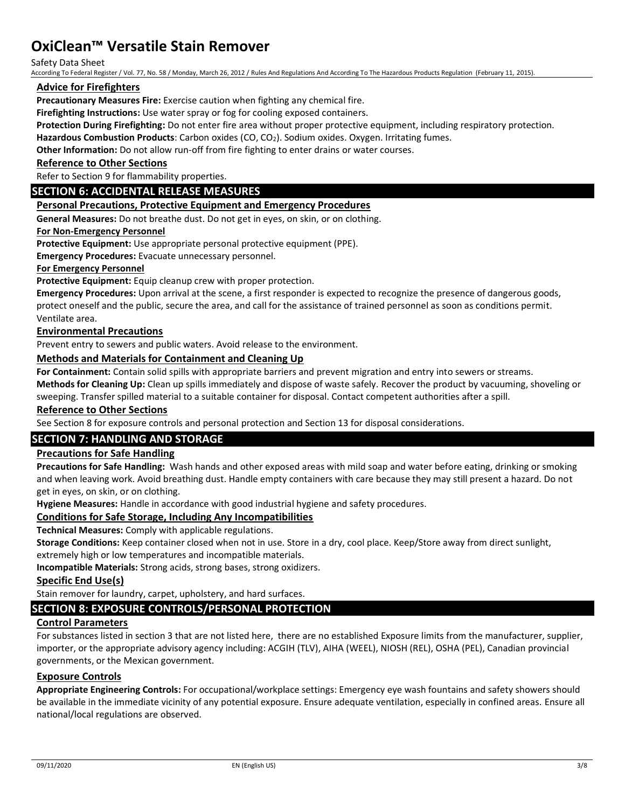Safety Data Sheet

According To Federal Register / Vol. 77, No. 58 / Monday, March 26, 2012 / Rules And Regulations And According To The Hazardous Products Regulation (February 11, 2015).

## **Advice for Firefighters**

**Precautionary Measures Fire:** Exercise caution when fighting any chemical fire.

**Firefighting Instructions:** Use water spray or fog for cooling exposed containers.

**Protection During Firefighting:** Do not enter fire area without proper protective equipment, including respiratory protection.

**Hazardous Combustion Products**: Carbon oxides (CO, CO2). Sodium oxides. Oxygen. Irritating fumes.

**Other Information:** Do not allow run-off from fire fighting to enter drains or water courses.

#### **Reference to Other Sections**

Refer to Section 9 for flammability properties.

## **SECTION 6: ACCIDENTAL RELEASE MEASURES**

### **Personal Precautions, Protective Equipment and Emergency Procedures**

**General Measures:** Do not breathe dust. Do not get in eyes, on skin, or on clothing.

#### **For Non-Emergency Personnel**

**Protective Equipment:** Use appropriate personal protective equipment (PPE).

**Emergency Procedures:** Evacuate unnecessary personnel.

### **For Emergency Personnel**

**Protective Equipment:** Equip cleanup crew with proper protection.

**Emergency Procedures:** Upon arrival at the scene, a first responder is expected to recognize the presence of dangerous goods, protect oneself and the public, secure the area, and call for the assistance of trained personnel as soon as conditions permit. Ventilate area.

#### **Environmental Precautions**

Prevent entry to sewers and public waters. Avoid release to the environment.

### **Methods and Materials for Containment and Cleaning Up**

**For Containment:** Contain solid spills with appropriate barriers and prevent migration and entry into sewers or streams.

**Methods for Cleaning Up:** Clean up spills immediately and dispose of waste safely. Recover the product by vacuuming, shoveling or sweeping. Transfer spilled material to a suitable container for disposal. Contact competent authorities after a spill.

## **Reference to Other Sections**

See Section 8 for exposure controls and personal protection and Section 13 for disposal considerations.

## **SECTION 7: HANDLING AND STORAGE**

### **Precautions for Safe Handling**

**Precautions for Safe Handling:** Wash hands and other exposed areas with mild soap and water before eating, drinking or smoking and when leaving work. Avoid breathing dust. Handle empty containers with care because they may still present a hazard. Do not get in eyes, on skin, or on clothing.

**Hygiene Measures:** Handle in accordance with good industrial hygiene and safety procedures.

### **Conditions for Safe Storage, Including Any Incompatibilities**

**Technical Measures:** Comply with applicable regulations.

**Storage Conditions:** Keep container closed when not in use. Store in a dry, cool place. Keep/Store away from direct sunlight,

extremely high or low temperatures and incompatible materials.

**Incompatible Materials:** Strong acids, strong bases, strong oxidizers.

#### **Specific End Use(s)**

Stain remover for laundry, carpet, upholstery, and hard surfaces.

### **SECTION 8: EXPOSURE CONTROLS/PERSONAL PROTECTION**

### **Control Parameters**

For substances listed in section 3 that are not listed here, there are no established Exposure limits from the manufacturer, supplier, importer, or the appropriate advisory agency including: ACGIH (TLV), AIHA (WEEL), NIOSH (REL), OSHA (PEL), Canadian provincial governments, or the Mexican government.

### **Exposure Controls**

**Appropriate Engineering Controls:** For occupational/workplace settings: Emergency eye wash fountains and safety showers should be available in the immediate vicinity of any potential exposure. Ensure adequate ventilation, especially in confined areas. Ensure all national/local regulations are observed.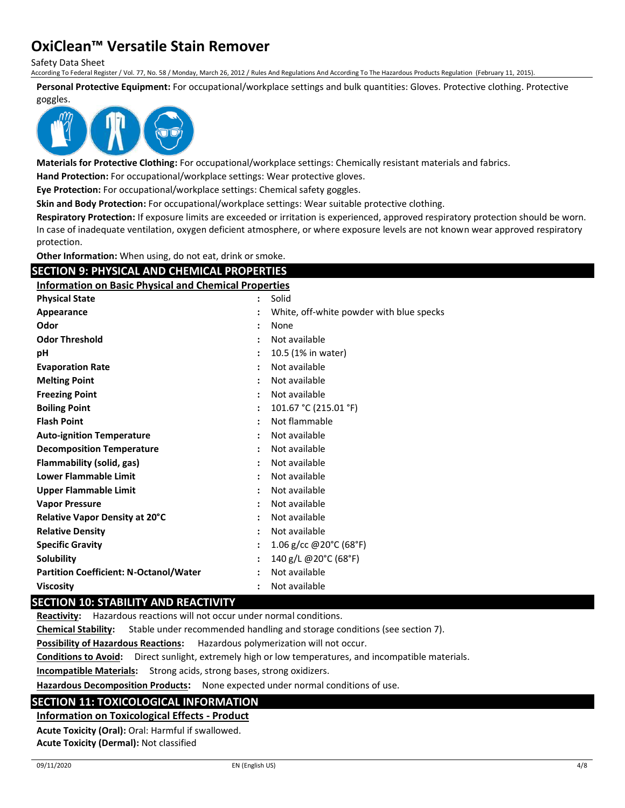Safety Data Sheet

According To Federal Register / Vol. 77, No. 58 / Monday, March 26, 2012 / Rules And Regulations And According To The Hazardous Products Regulation (February 11, 2015).

**Personal Protective Equipment:** For occupational/workplace settings and bulk quantities: Gloves. Protective clothing. Protective

goggles.



**Materials for Protective Clothing:** For occupational/workplace settings: Chemically resistant materials and fabrics.

**Hand Protection:** For occupational/workplace settings: Wear protective gloves.

**Eye Protection:** For occupational/workplace settings: Chemical safety goggles.

**Skin and Body Protection:** For occupational/workplace settings: Wear suitable protective clothing.

**Respiratory Protection:** If exposure limits are exceeded or irritation is experienced, approved respiratory protection should be worn. In case of inadequate ventilation, oxygen deficient atmosphere, or where exposure levels are not known wear approved respiratory protection.

**Other Information:** When using, do not eat, drink or smoke.

## **SECTION 9: PHYSICAL AND CHEMICAL PROPERTIES**

**Information on Basic Physical and Chemical Properties**

| <b>Physical State</b>                         | Solid<br>$\ddot{\cdot}$                                          |
|-----------------------------------------------|------------------------------------------------------------------|
| Appearance                                    | White, off-white powder with blue specks<br>$\ddot{\phantom{a}}$ |
| Odor                                          | None<br>$\ddot{\cdot}$                                           |
| <b>Odor Threshold</b>                         | Not available<br>$\ddot{\cdot}$                                  |
| рH                                            | 10.5 (1% in water)<br>$\ddot{\cdot}$                             |
| <b>Evaporation Rate</b>                       | Not available<br>$\ddot{\cdot}$                                  |
| <b>Melting Point</b>                          | Not available<br>$\ddot{\cdot}$                                  |
| <b>Freezing Point</b>                         | Not available<br>$\ddot{\cdot}$                                  |
| <b>Boiling Point</b>                          | 101.67 °C (215.01 °F)<br>$\ddot{\cdot}$                          |
| <b>Flash Point</b>                            | Not flammable<br>$\ddot{\cdot}$                                  |
| <b>Auto-ignition Temperature</b>              | Not available<br>$\ddot{\phantom{a}}$                            |
| <b>Decomposition Temperature</b>              | Not available<br>$\ddot{\cdot}$                                  |
| <b>Flammability (solid, gas)</b>              | Not available<br>$\ddot{\cdot}$                                  |
| Lower Flammable Limit                         | Not available<br>$\ddot{\cdot}$                                  |
| <b>Upper Flammable Limit</b>                  | Not available<br>$\ddot{\cdot}$                                  |
| <b>Vapor Pressure</b>                         | Not available<br>$\ddot{\cdot}$                                  |
| Relative Vapor Density at 20°C                | Not available<br>$\ddot{\cdot}$                                  |
| <b>Relative Density</b>                       | Not available<br>$\ddot{\cdot}$                                  |
| <b>Specific Gravity</b>                       | 1.06 g/cc @20°C (68°F)<br>$\ddot{\cdot}$                         |
| <b>Solubility</b>                             | 140 g/L @20°C (68°F)<br>$\ddot{\cdot}$                           |
| <b>Partition Coefficient: N-Octanol/Water</b> | Not available<br>:                                               |
| <b>Viscosity</b>                              | Not available<br>$\ddot{\cdot}$                                  |

### **SECTION 10: STABILITY AND REACTIVITY**

**Reactivity:** Hazardous reactions will not occur under normal conditions.

**Chemical Stability:** Stable under recommended handling and storage conditions (see section 7).

**Possibility of Hazardous Reactions:** Hazardous polymerization will not occur.

**Conditions to Avoid:** Direct sunlight, extremely high or low temperatures, and incompatible materials.

**Incompatible Materials:** Strong acids, strong bases, strong oxidizers.

**Hazardous Decomposition Products:** None expected under normal conditions of use.

## **SECTION 11: TOXICOLOGICAL INFORMATION**

### **Information on Toxicological Effects - Product**

**Acute Toxicity (Oral):** Oral: Harmful if swallowed. **Acute Toxicity (Dermal):** Not classified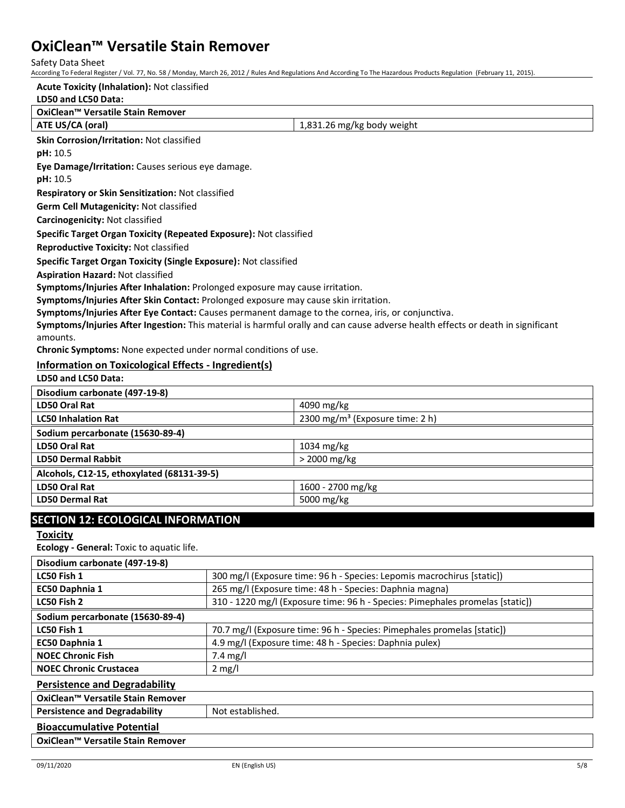Safety Data Sheet

According To Federal Register / Vol. 77, No. 58 / Monday, March 26, 2012 / Rules And Regulations And According To The Hazardous Products Regulation (February 11, 2015).

## **LD50 and LC50 Data: OxiClean™ Versatile Stain Remover ATE US/CA (oral) ATE US/CA** (oral) **Skin Corrosion/Irritation:** Not classified **pH:** 10.5 **Eye Damage/Irritation:** Causes serious eye damage. **pH:** 10.5 **Respiratory or Skin Sensitization:** Not classified **Germ Cell Mutagenicity:** Not classified**Carcinogenicity:** Not classified **Specific Target Organ Toxicity (Repeated Exposure):** Not classified **Reproductive Toxicity:** Not classified **Specific Target Organ Toxicity (Single Exposure):** Not classified **Aspiration Hazard:** Not classified **Symptoms/Injuries After Inhalation:** Prolonged exposure may cause irritation. **Symptoms/Injuries After Skin Contact:** Prolonged exposure may cause skin irritation. **Symptoms/Injuries After Eye Contact:** Causes permanent damage to the cornea, iris, or conjunctiva. **Symptoms/Injuries After Ingestion:** This material is harmful orally and can cause adverse health effects or death in significant amounts. **Chronic Symptoms:** None expected under normal conditions of use. **Information on Toxicological Effects - Ingredient(s) LD50 and LC50 Data: Disodium carbonate (497-19-8) LD50 Oral Rat**  $\left| 4090 \text{ mg/kg} \right|$ **LC50 Inhalation Rat** 2300 mg/m<sup>3</sup> (Exposure time: 2 h) **Sodium percarbonate (15630-89-4) LD50 Oral Rat** 1034 mg/kg **LD50 Dermal Rabbit** > 2000 mg/kg **Acute Toxicity (Inhalation):** Not classified

| LD50 Dermai Rabbit                         | 2 ZUUU MIRTKR     |
|--------------------------------------------|-------------------|
| Alcohols, C12-15, ethoxylated (68131-39-5) |                   |
| LD50 Oral Rat                              | 1600 - 2700 mg/kg |
| <b>LD50 Dermal Rat</b>                     | 5000 mg/kg        |
|                                            |                   |

## **SECTION 12: ECOLOGICAL INFORMATION**

**Toxicity**

**Ecology - General:** Toxic to aquatic life.

| Disodium carbonate (497-19-8)        |                                                                               |  |
|--------------------------------------|-------------------------------------------------------------------------------|--|
| LC50 Fish 1                          | 300 mg/l (Exposure time: 96 h - Species: Lepomis macrochirus [static])        |  |
| EC50 Daphnia 1                       | 265 mg/l (Exposure time: 48 h - Species: Daphnia magna)                       |  |
| LC50 Fish 2                          | 310 - 1220 mg/l (Exposure time: 96 h - Species: Pimephales promelas [static]) |  |
| Sodium percarbonate (15630-89-4)     |                                                                               |  |
| LC50 Fish 1                          | 70.7 mg/l (Exposure time: 96 h - Species: Pimephales promelas [static])       |  |
| EC50 Daphnia 1                       | 4.9 mg/l (Exposure time: 48 h - Species: Daphnia pulex)                       |  |
| <b>NOEC Chronic Fish</b>             | 7.4 mg/l                                                                      |  |
| <b>NOEC Chronic Crustacea</b>        | $2 \text{ mg/l}$                                                              |  |
| <b>Persistence and Degradability</b> |                                                                               |  |
| OxiClean™ Versatile Stain Remover    |                                                                               |  |
| <b>Persistence and Degradability</b> | Not established.                                                              |  |
| <b>Bioaccumulative Potential</b>     |                                                                               |  |
| OxiClean™ Versatile Stain Remover    |                                                                               |  |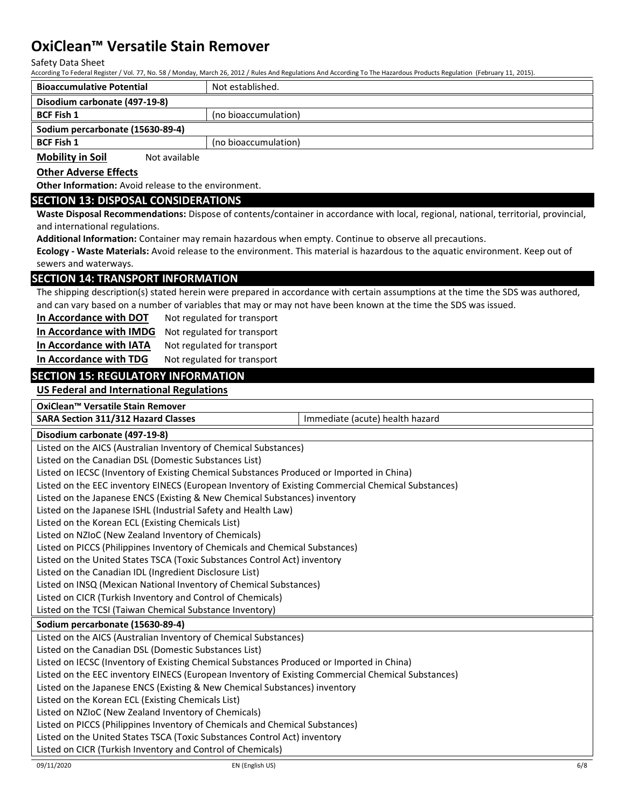Safety Data Sheet

According To Federal Register / Vol. 77, No. 58 / Monday, March 26, 2012 / Rules And Regulations And According To The Hazardous Products Regulation (February 11, 2015).

| <b>Bioaccumulative Potential</b> |               | Not established.     |
|----------------------------------|---------------|----------------------|
| Disodium carbonate (497-19-8)    |               |                      |
| <b>BCF Fish 1</b>                |               | (no bioaccumulation) |
| Sodium percarbonate (15630-89-4) |               |                      |
| <b>BCF Fish 1</b>                |               | (no bioaccumulation) |
| <b>Mobility in Soil</b>          | Not available |                      |

**Other Adverse Effects**

**Other Information:** Avoid release to the environment.

### **SECTION 13: DISPOSAL CONSIDERATIONS**

**Waste Disposal Recommendations:** Dispose of contents/container in accordance with local, regional, national, territorial, provincial, and international regulations.

**Additional Information:** Container may remain hazardous when empty. Continue to observe all precautions.

**Ecology - Waste Materials:** Avoid release to the environment. This material is hazardous to the aquatic environment. Keep out of sewers and waterways.

## **SECTION 14: TRANSPORT INFORMATION**

The shipping description(s) stated herein were prepared in accordance with certain assumptions at the time the SDS was authored, and can vary based on a number of variables that may or may not have been known at the time the SDS was issued.

**In Accordance with DOT** Not regulated for transport

**In Accordance with IMDG** Not regulated for transport

In Accordance with IATA Not regulated for transport

**In Accordance with TDG** Not regulated for transport

## **SECTION 15: REGULATORY INFORMATION**

**US Federal and International Regulations**

**OxiClean™ Versatile Stain Remover**

**SARA Section 311/312 Hazard Classes** Immediate (acute) health hazard

**Disodium carbonate (497-19-8)**

Listed on the AICS (Australian Inventory of Chemical Substances)

Listed on the Canadian DSL (Domestic Substances List)

Listed on IECSC (Inventory of Existing Chemical Substances Produced or Imported in China)

Listed on the EEC inventory EINECS (European Inventory of Existing Commercial Chemical Substances)

Listed on the Japanese ENCS (Existing & New Chemical Substances) inventory

Listed on the Japanese ISHL (Industrial Safety and Health Law)

Listed on the Korean ECL (Existing Chemicals List)

Listed on NZIoC (New Zealand Inventory of Chemicals)

Listed on PICCS (Philippines Inventory of Chemicals and Chemical Substances)

Listed on the United States TSCA (Toxic Substances Control Act) inventory

Listed on the Canadian IDL (Ingredient Disclosure List)

Listed on INSQ (Mexican National Inventory of Chemical Substances)

Listed on CICR (Turkish Inventory and Control of Chemicals)

Listed on the TCSI (Taiwan Chemical Substance Inventory)

#### **Sodium percarbonate (15630-89-4)**

Listed on the AICS (Australian Inventory of Chemical Substances)

Listed on the Canadian DSL (Domestic Substances List)

Listed on IECSC (Inventory of Existing Chemical Substances Produced or Imported in China)

Listed on the EEC inventory EINECS (European Inventory of Existing Commercial Chemical Substances)

Listed on the Japanese ENCS (Existing & New Chemical Substances) inventory

Listed on the Korean ECL (Existing Chemicals List)

Listed on NZIoC (New Zealand Inventory of Chemicals)

Listed on PICCS (Philippines Inventory of Chemicals and Chemical Substances)

Listed on the United States TSCA (Toxic Substances Control Act) inventory

Listed on CICR (Turkish Inventory and Control of Chemicals)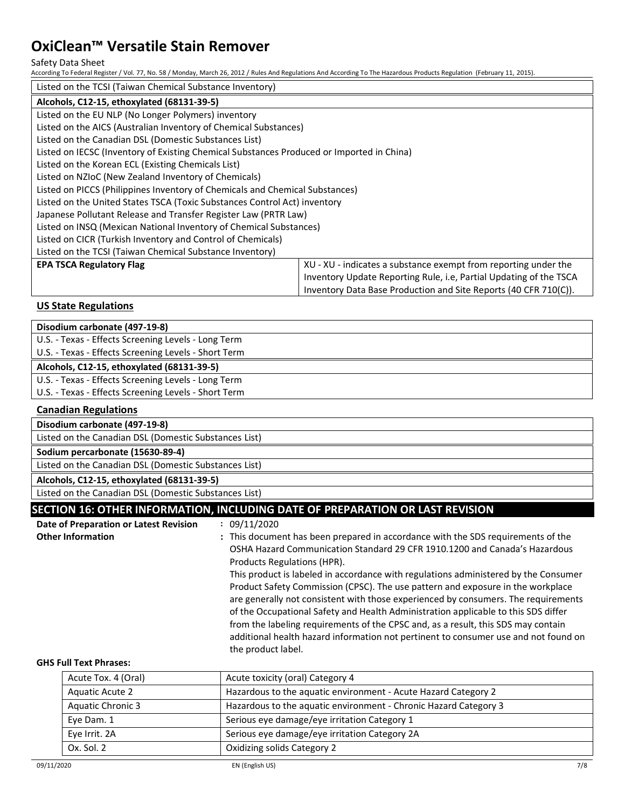#### Safety Data Sheet

According To Federal Register / Vol. 77, No. 58 / Monday, March 26, 2012 / Rules And Regulations And According To The Hazardous Products Regulation (February 11, 2015).

| Listed on the TCSI (Taiwan Chemical Substance Inventory)                                  |                                                                    |  |
|-------------------------------------------------------------------------------------------|--------------------------------------------------------------------|--|
| Alcohols, C12-15, ethoxylated (68131-39-5)                                                |                                                                    |  |
| Listed on the EU NLP (No Longer Polymers) inventory                                       |                                                                    |  |
| Listed on the AICS (Australian Inventory of Chemical Substances)                          |                                                                    |  |
| Listed on the Canadian DSL (Domestic Substances List)                                     |                                                                    |  |
| Listed on IECSC (Inventory of Existing Chemical Substances Produced or Imported in China) |                                                                    |  |
| Listed on the Korean ECL (Existing Chemicals List)                                        |                                                                    |  |
| Listed on NZIoC (New Zealand Inventory of Chemicals)                                      |                                                                    |  |
| Listed on PICCS (Philippines Inventory of Chemicals and Chemical Substances)              |                                                                    |  |
| Listed on the United States TSCA (Toxic Substances Control Act) inventory                 |                                                                    |  |
| Japanese Pollutant Release and Transfer Register Law (PRTR Law)                           |                                                                    |  |
| Listed on INSQ (Mexican National Inventory of Chemical Substances)                        |                                                                    |  |
| Listed on CICR (Turkish Inventory and Control of Chemicals)                               |                                                                    |  |
| Listed on the TCSI (Taiwan Chemical Substance Inventory)                                  |                                                                    |  |
| <b>EPA TSCA Regulatory Flag</b>                                                           | XU - XU - indicates a substance exempt from reporting under the    |  |
|                                                                                           | Inventory Update Reporting Rule, i.e, Partial Updating of the TSCA |  |
|                                                                                           | Inventory Data Base Production and Site Reports (40 CFR 710(C)).   |  |

## **US State Regulations**

| Disodium carbonate (497-19-8)                         |                                                                                                                                                                                                                                                                                                                                                                                                                                                                                                                                                                                                                                                                                                                                                       |  |
|-------------------------------------------------------|-------------------------------------------------------------------------------------------------------------------------------------------------------------------------------------------------------------------------------------------------------------------------------------------------------------------------------------------------------------------------------------------------------------------------------------------------------------------------------------------------------------------------------------------------------------------------------------------------------------------------------------------------------------------------------------------------------------------------------------------------------|--|
| U.S. - Texas - Effects Screening Levels - Long Term   |                                                                                                                                                                                                                                                                                                                                                                                                                                                                                                                                                                                                                                                                                                                                                       |  |
| U.S. - Texas - Effects Screening Levels - Short Term  |                                                                                                                                                                                                                                                                                                                                                                                                                                                                                                                                                                                                                                                                                                                                                       |  |
| Alcohols, C12-15, ethoxylated (68131-39-5)            |                                                                                                                                                                                                                                                                                                                                                                                                                                                                                                                                                                                                                                                                                                                                                       |  |
| U.S. - Texas - Effects Screening Levels - Long Term   |                                                                                                                                                                                                                                                                                                                                                                                                                                                                                                                                                                                                                                                                                                                                                       |  |
| U.S. - Texas - Effects Screening Levels - Short Term  |                                                                                                                                                                                                                                                                                                                                                                                                                                                                                                                                                                                                                                                                                                                                                       |  |
| <b>Canadian Regulations</b>                           |                                                                                                                                                                                                                                                                                                                                                                                                                                                                                                                                                                                                                                                                                                                                                       |  |
| Disodium carbonate (497-19-8)                         |                                                                                                                                                                                                                                                                                                                                                                                                                                                                                                                                                                                                                                                                                                                                                       |  |
| Listed on the Canadian DSL (Domestic Substances List) |                                                                                                                                                                                                                                                                                                                                                                                                                                                                                                                                                                                                                                                                                                                                                       |  |
| Sodium percarbonate (15630-89-4)                      |                                                                                                                                                                                                                                                                                                                                                                                                                                                                                                                                                                                                                                                                                                                                                       |  |
| Listed on the Canadian DSL (Domestic Substances List) |                                                                                                                                                                                                                                                                                                                                                                                                                                                                                                                                                                                                                                                                                                                                                       |  |
| Alcohols, C12-15, ethoxylated (68131-39-5)            |                                                                                                                                                                                                                                                                                                                                                                                                                                                                                                                                                                                                                                                                                                                                                       |  |
| Listed on the Canadian DSL (Domestic Substances List) |                                                                                                                                                                                                                                                                                                                                                                                                                                                                                                                                                                                                                                                                                                                                                       |  |
|                                                       | SECTION 16: OTHER INFORMATION, INCLUDING DATE OF PREPARATION OR LAST REVISION                                                                                                                                                                                                                                                                                                                                                                                                                                                                                                                                                                                                                                                                         |  |
| Date of Preparation or Latest Revision                | : 09/11/2020                                                                                                                                                                                                                                                                                                                                                                                                                                                                                                                                                                                                                                                                                                                                          |  |
| <b>Other Information</b>                              | : This document has been prepared in accordance with the SDS requirements of the<br>OSHA Hazard Communication Standard 29 CFR 1910.1200 and Canada's Hazardous<br>Products Regulations (HPR).<br>This product is labeled in accordance with regulations administered by the Consumer<br>Product Safety Commission (CPSC). The use pattern and exposure in the workplace<br>are generally not consistent with those experienced by consumers. The requirements<br>of the Occupational Safety and Health Administration applicable to this SDS differ<br>from the labeling requirements of the CPSC and, as a result, this SDS may contain<br>additional health hazard information not pertinent to consumer use and not found on<br>the product label. |  |
| <b>GHS Full Text Phrases:</b>                         |                                                                                                                                                                                                                                                                                                                                                                                                                                                                                                                                                                                                                                                                                                                                                       |  |
| Acute Tox. 4 (Oral)                                   | Acute toxicity (oral) Category 4                                                                                                                                                                                                                                                                                                                                                                                                                                                                                                                                                                                                                                                                                                                      |  |
| <b>Aquatic Acute 2</b>                                | Hazardous to the aquatic environment - Acute Hazard Category 2                                                                                                                                                                                                                                                                                                                                                                                                                                                                                                                                                                                                                                                                                        |  |
| <b>Aquatic Chronic 3</b>                              | Hazardous to the aquatic environment - Chronic Hazard Category 3                                                                                                                                                                                                                                                                                                                                                                                                                                                                                                                                                                                                                                                                                      |  |
| Eve Dam. 1                                            | Serious eye damage/eye irritation Category 1                                                                                                                                                                                                                                                                                                                                                                                                                                                                                                                                                                                                                                                                                                          |  |

Eye Irrit. 2A **Serious eye damage/eye irritation Category 2A** 

Ox. Sol. 2 **Oxidizing solids Category 2**